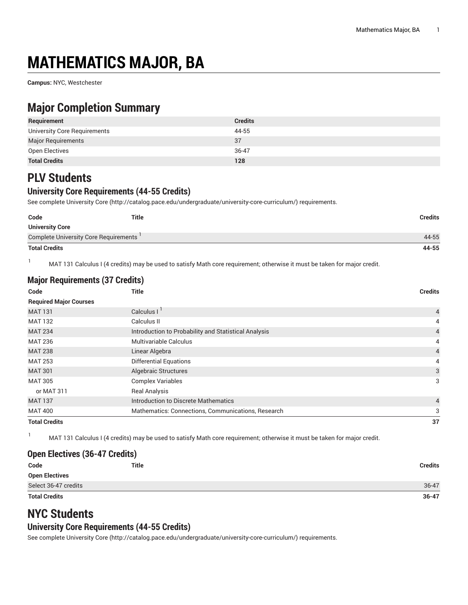# **MATHEMATICS MAJOR, BA**

**Campus:** NYC, Westchester

# **Major Completion Summary**

| Requirement                  | <b>Credits</b> |
|------------------------------|----------------|
| University Core Requirements | 44-55          |
| <b>Major Requirements</b>    | 37             |
| Open Electives               | 36-47          |
| <b>Total Credits</b>         | 128            |

# **PLV Students**

## **University Core Requirements (44-55 Credits)**

See complete [University](http://catalog.pace.edu/undergraduate/university-core-curriculum/) Core (<http://catalog.pace.edu/undergraduate/university-core-curriculum/>) requirements.

| Code                                  | <b>Title</b> | <b>Credits</b> |
|---------------------------------------|--------------|----------------|
| <b>University Core</b>                |              |                |
| Complete University Core Requirements |              | 44-55          |
| <b>Total Credits</b>                  |              | 44-55          |

<sup>1</sup> MAT 131 Calculus I (4 credits) may be used to satisfy Math core requirement; otherwise it must be taken for major credit.

| <b>Major Requirements (37 Credits)</b> |                                                      |                |  |  |
|----------------------------------------|------------------------------------------------------|----------------|--|--|
| Code                                   | Title                                                |                |  |  |
| <b>Required Major Courses</b>          |                                                      |                |  |  |
| <b>MAT 131</b>                         | Calculus I <sup>I</sup>                              | $\overline{4}$ |  |  |
| <b>MAT 132</b>                         | Calculus II                                          | 4              |  |  |
| <b>MAT 234</b>                         | Introduction to Probability and Statistical Analysis | $\overline{4}$ |  |  |
| <b>MAT 236</b>                         | Multivariable Calculus                               | 4              |  |  |
| <b>MAT 238</b>                         | Linear Algebra                                       | $\overline{4}$ |  |  |
| <b>MAT 253</b>                         | <b>Differential Equations</b>                        | 4              |  |  |
| <b>MAT 301</b>                         | Algebraic Structures                                 | 3              |  |  |
| <b>MAT 305</b>                         | <b>Complex Variables</b>                             | 3              |  |  |
| or MAT 311                             | <b>Real Analysis</b>                                 |                |  |  |
| <b>MAT 137</b>                         | Introduction to Discrete Mathematics                 | $\overline{4}$ |  |  |
| <b>MAT 400</b>                         | Mathematics: Connections, Communications, Research   |                |  |  |
| <b>Total Credits</b>                   |                                                      | 37             |  |  |

<sup>1</sup> MAT 131 Calculus I (4 credits) may be used to satisfy Math core requirement; otherwise it must be taken for major credit.

### **Open Electives (36-47 Credits)**

| Code                  | Title | <b>Credits</b> |
|-----------------------|-------|----------------|
| <b>Open Electives</b> |       |                |
| Select 36-47 credits  |       | $36 - 47$      |
| <b>Total Credits</b>  |       | $36 - 47$      |

# **NYC Students**

### **University Core Requirements (44-55 Credits)**

See complete [University](http://catalog.pace.edu/undergraduate/university-core-curriculum/) Core (<http://catalog.pace.edu/undergraduate/university-core-curriculum/>) requirements.